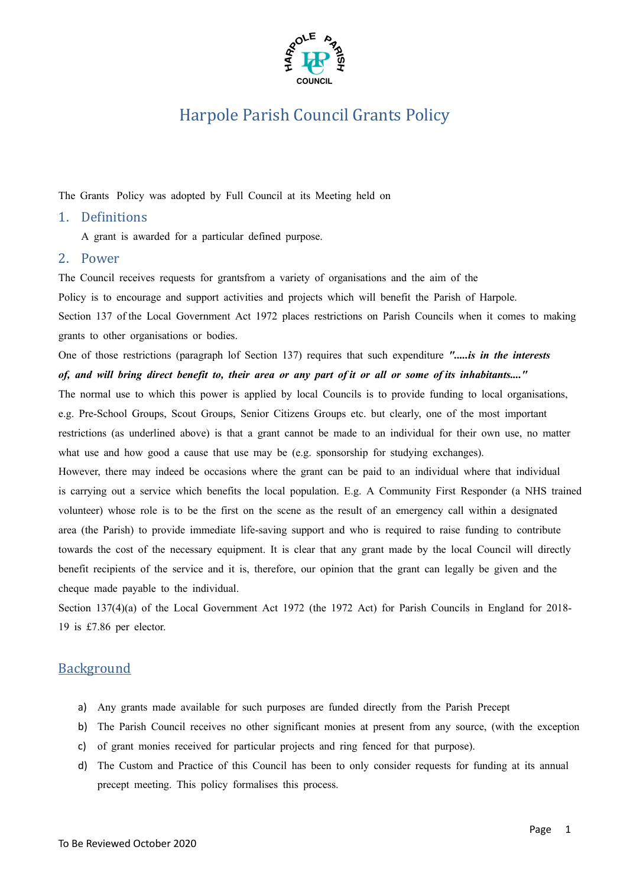

The Grants Policy was adopted by Full Council at its Meeting held on

#### 1. Definitions

A grant is awarded for a particular defined purpose.

#### 2. Power

The Council receives requests for grantsfrom a variety of organisations and the aim of the

Policy is to encourage and support activities and projects which will benefit the Parish of Harpole.

Section 137 of the Local Government Act 1972 places restrictions on Parish Councils when it comes to making grants to other organisations or bodies.

One of those restrictions (paragraph lof Section 137) requires that such expenditure *".....is in the interests*

#### of, and will bring direct benefit to, their area or any part of it or all or some of its inhabitants...."

The normal use to which this power is applied by local Councils is to provide funding to local organisations, e.g. Pre-School Groups, Scout Groups, Senior Citizens Groups etc. but clearly, one of the most important restrictions (as underlined above) is that a grant cannot be made to an individual for their own use, no matter what use and how good a cause that use may be (e.g. sponsorship for studying exchanges).

However, there may indeed be occasions where the grant can be paid to an individual where that individual is carrying out a service which benefits the local population. E.g. A Community First Responder (a NHS trained volunteer) whose role is to be the first on the scene as the result of an emergency call within a designated area (the Parish) to provide immediate life-saving support and who is required to raise funding to contribute towards the cost of the necessary equipment. It is clear that any grant made by the local Council will directly benefit recipients of the service and it is, therefore, our opinion that the grant can legally be given and the cheque made payable to the individual.

Section 137(4)(a) of the Local Government Act 1972 (the 1972 Act) for Parish Councils in England for 2018- 19 is £7.86 per elector.

### **Background**

- a) Any grants made available for such purposes are funded directly from the Parish Precept
- b) The Parish Council receives no other significant monies at present from any source, (with the exception
- c) of grant monies received for particular projects and ring fenced for that purpose).
- d) The Custom and Practice of this Council has been to only consider requests for funding at its annual precept meeting. This policy formalises this process.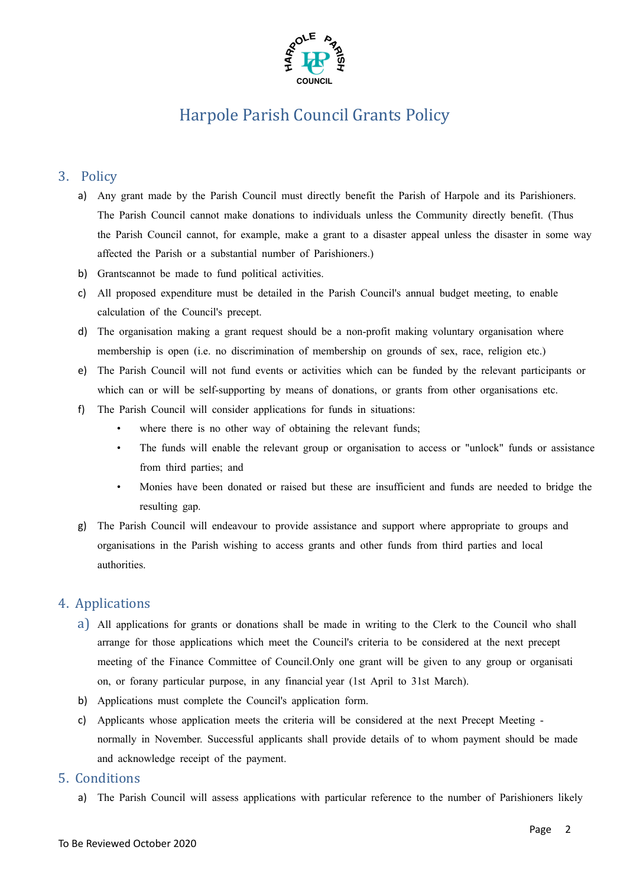

### 3. Policy

- a) Any grant made by the Parish Council must directly benefit the Parish of Harpole and its Parishioners. The Parish Council cannot make donations to individuals unless the Community directly benefit. (Thus the Parish Council cannot, for example, make a grant to a disaster appeal unless the disaster in some way affected the Parish or a substantial number of Parishioners.)
- b) Grantscannot be made to fund political activities.
- c) All proposed expenditure must be detailed in the Parish Council's annual budget meeting, to enable calculation of the Council's precept.
- d) The organisation making a grant request should be a non-profit making voluntary organisation where membership is open (i.e. no discrimination of membership on grounds of sex, race, religion etc.)
- e) The Parish Council will not fund events or activities which can be funded by the relevant participants or which can or will be self-supporting by means of donations, or grants from other organisations etc.
- f) The Parish Council will consider applications for funds in situations:
	- where there is no other way of obtaining the relevant funds;
	- The funds will enable the relevant group or organisation to access or "unlock" funds or assistance from third parties; and
	- Monies have been donated or raised but these are insufficient and funds are needed to bridge the resulting gap.
- g) The Parish Council will endeavour to provide assistance and support where appropriate to groups and organisations in the Parish wishing to access grants and other funds from third parties and local authorities.

### 4. Applications

- a) All applications for grants or donations shall be made in writing to the Clerk to the Council who shall arrange for those applications which meet the Council's criteria to be considered at the next precept meeting of the Finance Committee of Council.Only one grant will be given to any group or organisati on, or forany particular purpose, in any financial year (1st April to 31st March).
- b) Applications must complete the Council's application form.
- c) Applicants whose application meets the criteria will be considered at the next Precept Meeting normally in November. Successful applicants shall provide details of to whom payment should be made and acknowledge receipt of the payment.
- 5. Conditions
	- a) The Parish Council will assess applications with particular reference to the number of Parishioners likely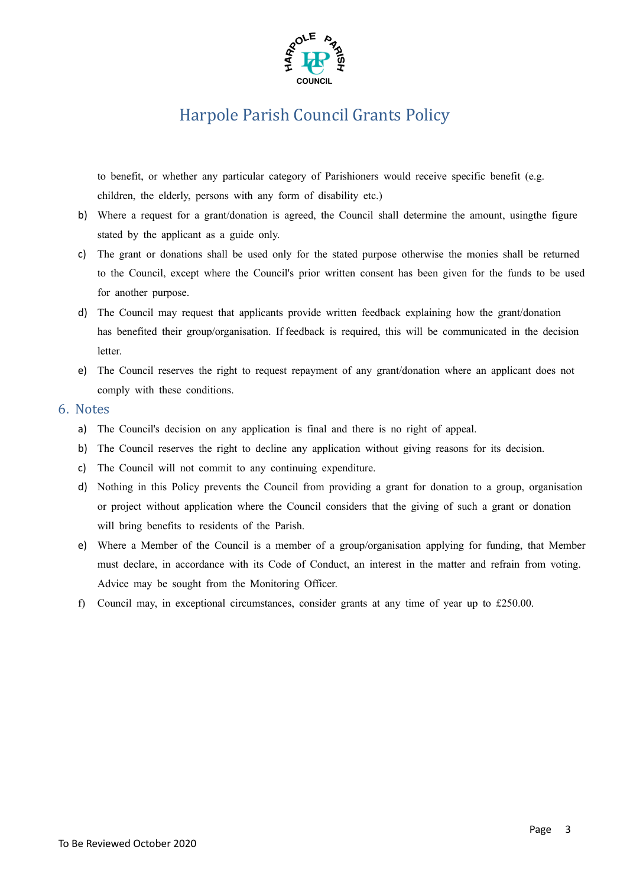

to benefit, or whether any particular category of Parishioners would receive specific benefit (e.g. children, the elderly, persons with any form of disability etc.)

- b) Where a request for a grant/donation is agreed, the Council shall determine the amount, usingthe figure stated by the applicant as a guide only.
- c) The grant or donations shall be used only for the stated purpose otherwise the monies shall be returned to the Council, except where the Council's prior written consent has been given for the funds to be used for another purpose.
- d) The Council may request that applicants provide written feedback explaining how the grant/donation has benefited their group/organisation. If feedback is required, this will be communicated in the decision letter.
- e) The Council reserves the right to request repayment of any grant/donation where an applicant does not comply with these conditions.

### 6. Notes

- a) The Council's decision on any application is final and there is no right of appeal.
- b) The Council reserves the right to decline any application without giving reasons for its decision.
- c) The Council will not commit to any continuing expenditure.
- d) Nothing in this Policy prevents the Council from providing a grant for donation to a group, organisation or project without application where the Council considers that the giving of such a grant or donation will bring benefits to residents of the Parish.
- e) Where a Member of the Council is a member of a group/organisation applying for funding, that Member must declare, in accordance with its Code of Conduct, an interest in the matter and refrain from voting. Advice may be sought from the Monitoring Officer.
- f) Council may, in exceptional circumstances, consider grants at any time of year up to £250.00.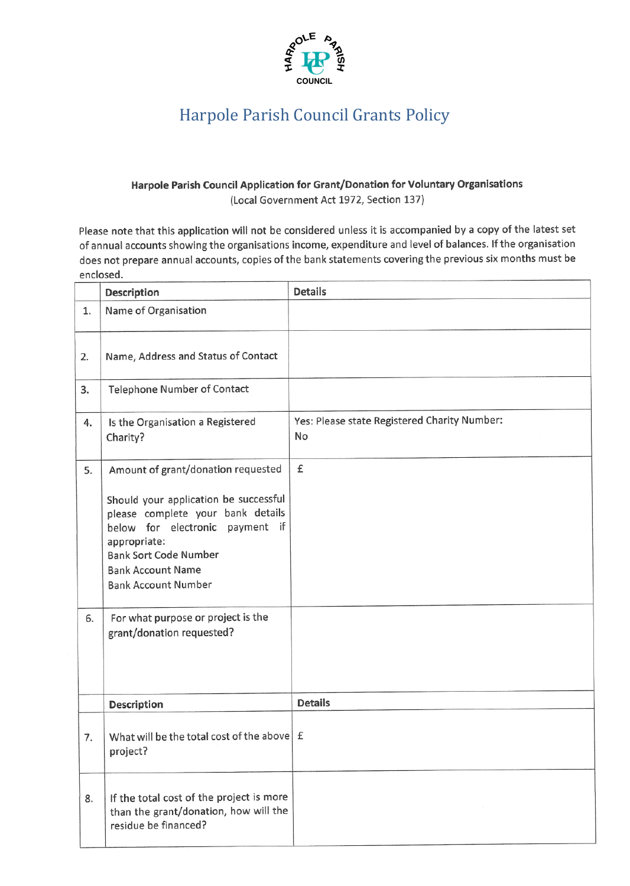

### Harpole Parish Council Application for Grant/Donation for Voluntary Organisations (Local Government Act 1972, Section 137)

Please note that this application will not be considered unless it is accompanied by a copy of the latest set of annual accounts showing the organisations income, expenditure and level of balances. If the organisation does not prepare annual accounts, copies of the bank statements covering the previous six months must be enclosed.

|          | <b>Description</b>                                                                                                                                                                                                                                                                                  | <b>Details</b>                                     |
|----------|-----------------------------------------------------------------------------------------------------------------------------------------------------------------------------------------------------------------------------------------------------------------------------------------------------|----------------------------------------------------|
| 1.       | Name of Organisation                                                                                                                                                                                                                                                                                |                                                    |
| 2.       | Name, Address and Status of Contact                                                                                                                                                                                                                                                                 |                                                    |
| 3.       | <b>Telephone Number of Contact</b>                                                                                                                                                                                                                                                                  |                                                    |
| 4.       | Is the Organisation a Registered<br>Charity?                                                                                                                                                                                                                                                        | Yes: Please state Registered Charity Number:<br>No |
| 5.<br>6. | Amount of grant/donation requested<br>Should your application be successful<br>please complete your bank details<br>below for electronic payment if<br>appropriate:<br><b>Bank Sort Code Number</b><br><b>Bank Account Name</b><br><b>Bank Account Number</b><br>For what purpose or project is the | £                                                  |
|          | grant/donation requested?<br>Description                                                                                                                                                                                                                                                            | <b>Details</b>                                     |
| 7.       | What will be the total cost of the above<br>project?                                                                                                                                                                                                                                                |                                                    |
| 8.       | If the total cost of the project is more<br>than the grant/donation, how will the<br>residue be financed?                                                                                                                                                                                           |                                                    |